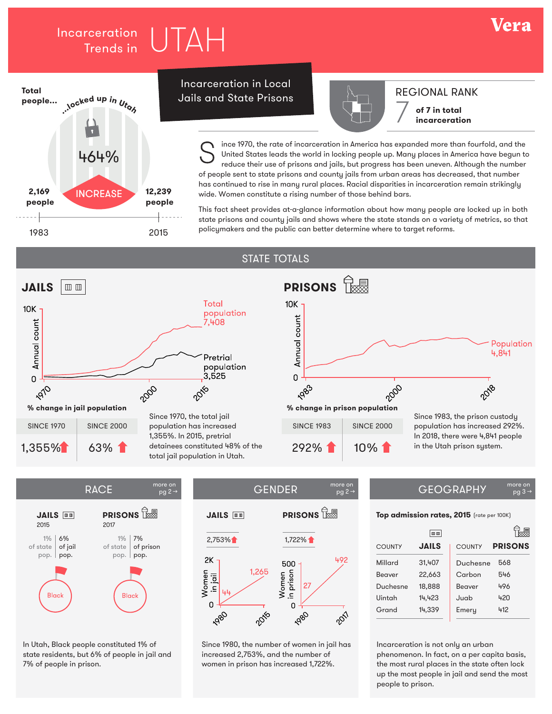# Incarceration  $\boxed{11}$   $\boxed{11}$ Trends in



## Incarceration in Local Jails and State Prisons



# REGIONAL RANK

Vera

**of 7 in total incarceration**

ince 1970, the rate of incarceration in America has expanded more than fourfold, and the United States leads the world in locking people up. Many places in America have begun to reduce their use of prisons and jails, but progress has been uneven. Although the number of people sent to state prisons and county jails from urban areas has decreased, that number has continued to rise in many rural places. Racial disparities in incarceration remain strikingly wide. Women constitute a rising number of those behind bars. S

This fact sheet provides at-a-glance information about how many people are locked up in both state prisons and county jails and shows where the state stands on a variety of metrics, so that policymakers and the public can better determine where to target reforms.

### STATE TOTALS



 $pg 2 \rightarrow$ 



In Utah, Black people constituted 1% of state residents, but 6% of people in jail and 7% of people in prison.

#### $RACE$   $^{more on}_{\text{no 2}\rightarrow}$   $\qquad$   $\qquad$   $\qquad$   $\qquad$   $\qquad$   $\qquad$   $\qquad$   $\qquad$   $\qquad$   $\qquad$   $\qquad$   $\qquad$   $\qquad$   $\qquad$   $\qquad$   $\qquad$   $\qquad$   $\qquad$   $\qquad$   $\qquad$   $\qquad$   $\qquad$   $\qquad$   $\qquad$   $\qquad$   $\qquad$   $\qquad$   $\qquad$   $\qquad$   $\qquad$   $\qquad$   $\qquad$   $\qquad$   $\$ pg 2 →



Since 1980, the number of women in jail has increased 2,753%, and the number of women in prison has increased 1,722%.

## $pg<sub>3</sub>$

**Top admission rates, 2015** (rate per 100K)

|               | $\quad \  \  \, \Box \  \  \, \Box \quad$ |               |                |
|---------------|-------------------------------------------|---------------|----------------|
| <b>COUNTY</b> | <b>JAILS</b>                              | <b>COUNTY</b> | <b>PRISONS</b> |
| Millard       | 31,407                                    | Duchesne      | 568            |
| Beaver        | 22.663                                    | Carbon        | 546            |
| Duchesne      | 18,888                                    | Beaver        | 496            |
| Uintah        | 14,423                                    | Juab.         | 420            |
| Grand         | 14.339                                    | Emery         | 412            |

Incarceration is not only an urban phenomenon. In fact, on a per capita basis, the most rural places in the state often lock up the most people in jail and send the most people to prison.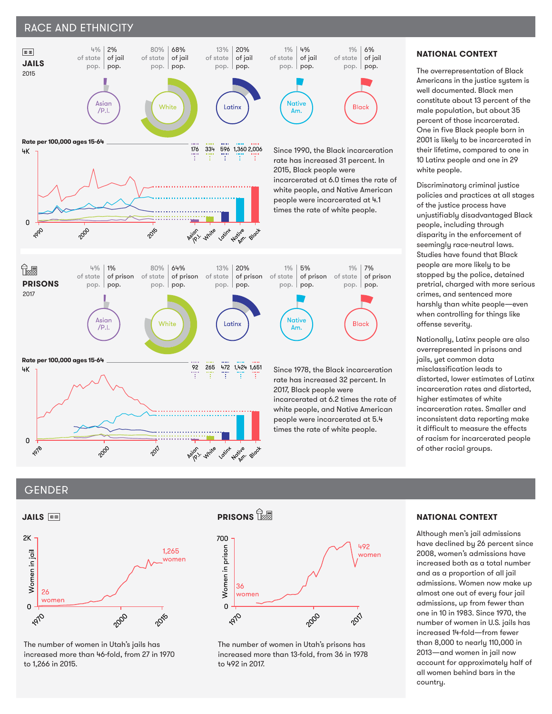### RACE AND ETHNICITY



### **NATIONAL CONTEXT**

The overrepresentation of Black Americans in the justice system is well documented. Black men constitute about 13 percent of the male population, but about 35 percent of those incarcerated. One in five Black people born in 2001 is likely to be incarcerated in their lifetime, compared to one in 10 Latinx people and one in 29 white people.

Discriminatory criminal justice policies and practices at all stages of the justice process have unjustifiably disadvantaged Black people, including through disparity in the enforcement of seemingly race-neutral laws. Studies have found that Black people are more likely to be stopped by the police, detained pretrial, charged with more serious crimes, and sentenced more harshly than white people—even when controlling for things like offense severity.

Nationally, Latinx people are also overrepresented in prisons and jails, yet common data misclassification leads to distorted, lower estimates of Latinx incarceration rates and distorted, higher estimates of white incarceration rates. Smaller and inconsistent data reporting make it difficult to measure the effects of racism for incarcerated people of other racial groups.

### GENDER



The number of women in Utah's jails has increased more than 46-fold, from 27 in 1970 to 1,266 in 2015.

# **PRISONS**



The number of women in Utah's prisons has increased more than 13-fold, from 36 in 1978 to 492 in 2017.

### **NATIONAL CONTEXT**

Although men's jail admissions have declined by 26 percent since 2008, women's admissions have increased both as a total number and as a proportion of all jail admissions. Women now make up almost one out of every four jail admissions, up from fewer than one in 10 in 1983. Since 1970, the number of women in U.S. jails has increased 14-fold—from fewer than 8,000 to nearly 110,000 in 2013—and women in jail now account for approximately half of all women behind bars in the country.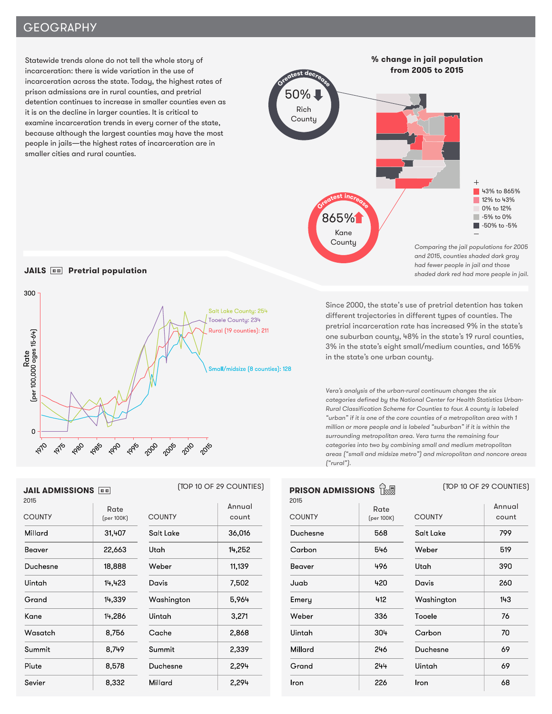## **GEOGRAPHY**

Statewide trends alone do not tell the whole story of incarceration: there is wide variation in the use of incarceration across the state. Today, the highest rates of prison admissions are in rural counties, and pretrial detention continues to increase in smaller counties even as it is on the decline in larger counties. It is critical to examine incarceration trends in every corner of the state, because although the largest counties may have the most people in jails—the highest rates of incarceration are in smaller cities and rural counties.



### **JAILS Pretrial population**



Since 2000, the state's use of pretrial detention has taken different trajectories in different types of counties. The pretrial incarceration rate has increased 9% in the state's one suburban county, 48% in the state's 19 rural counties, 3% in the state's eight small/medium counties, and 165% in the state's one urban county.

Vera's analysis of the urban-rural continuum changes the six categories defined by the National Center for Health Statistics Urban-Rural Classification Scheme for Counties to four. A county is labeled "urban" if it is one of the core counties of a metropolitan area with 1 million or more people and is labeled "suburban" if it is within the surrounding metropolitan area. Vera turns the remaining four categories into two by combining small and medium metropolitan areas ("small and midsize metro") and micropolitan and noncore areas ("rural").

| <b>PRISON ADMISSIONS</b><br>2015 |                    |               |
|----------------------------------|--------------------|---------------|
| <b>COUNTY</b>                    | Rate<br>(per 100K) | <b>COUNTY</b> |
| Duchesne                         | 568                | Salt Lak      |
| Carbon                           | 546                | Weber         |
| Beaver                           | 496                | Utah          |
| Juab.                            | 420                | Davis         |
| Emery                            | 412                | Washing       |
| Weber                            | 336                | Tooele        |
| Uintah                           | 304                | Carbon        |
| Millard                          | 246                | Duchesr       |
| Grand                            | 244                | Uintah        |
| Iron                             | 226                | Iron          |

| <b>COUNTY</b> | Annual<br>count |
|---------------|-----------------|
| Salt Lake     | 799             |
| Weber         | 519             |
| Utah          | 390             |
| Davis         | 260             |
| Washington    | 143             |
| Tooele        | 76              |
| Carbon        | 70              |
| Duchesne      | 69              |
| Uintah        | 69              |
| Iron          | 68              |

**PRISON ADMISSIONS** (TOP 10 OF 29 COUNTIES)

# **JAIL ADMISSIONS**

| 2015          |                    |               |                 | 2015           |
|---------------|--------------------|---------------|-----------------|----------------|
| <b>COUNTY</b> | Rate<br>(per 100K) | <b>COUNTY</b> | Annual<br>count | COI            |
| Millard       | 31,407             | Salt Lake     | 36,016          | Duc            |
| Beaver        | 22,663             | Utah          | 14,252          | Cai            |
| Duchesne      | 18,888             | Weber         | 11,139          | Bec            |
| Uintah        | 14,423             | Davis         | 7,502           | Juo            |
| Grand         | 14,339             | Washington    | 5,964           | E <sub>m</sub> |
| Kane          | 14,286             | Uintah        | 3,271           | We             |
| Wasatch       | 8,756              | Cache         | 2,868           | Uini           |
| Summit        | 8,749              | Summit        | 2,339           | Mill           |
| Piute         | 8,578              | Duchesne      | 2,294           | Gro            |
| Sevier        | 8,332              | Millard       | 2,294           | Iror           |

### (TOP 10 OF 29 COUNTIES)

|            | Annual |
|------------|--------|
| COUNTY     | count  |
| Salt Lake  | 36.016 |
| Utah       | 14,252 |
| Weber      | 11.139 |
| Davis      | 7,502  |
| Washington | 5,964  |
| Uintah     | 3,271  |
| Cache      | 2,868  |
| Summit     | 2.339  |
| Duchesne   | 2.294  |
| Millard    | 2,294  |